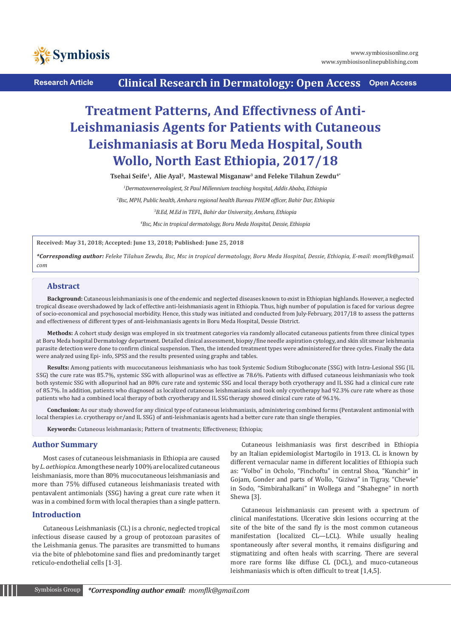

**Research Article Clinical Research in Dermatology: Open Access Open Access**

# **Treatment Patterns, And Effectivness of Anti-Leishmaniasis Agents for Patients with Cutaneous Leishmaniasis at Boru Meda Hospital, South Wollo, North East Ethiopia, 2017/18**

Tsehai Seife<sup>1</sup>, Alie Ayal<sup>2</sup>, Mastewal Misganaw<sup>3</sup> and Feleke Tilahun Zewdu<sup>4\*</sup>

*1 Dermatovenereologiest, St Paul Millennium teaching hospital, Addis Ababa, Ethiopia* 

*<sup>2</sup>Bsc, MPH, Public health, Amhara regional health Bureau PHEM officer, Bahir Dar, Ethiopia*

*3 B.Ed, M.Ed in TEFL, Bahir dar University, Amhara, Ethiopia*

*4 Bsc, Msc in tropical dermatology, Boru Meda Hospital, Dessie, Ethiopia* 

**Received: May 31, 2018; Accepted: June 13, 2018; Published: June 25, 2018**

*\*Corresponding author: Feleke Tilahun Zewdu, Bsc, Msc in tropical dermatology, Boru Meda Hospital, Dessie, Ethiopia, E-mail: [momflk@gmail.](mailto:momflk%40gmail.com) [com](mailto:momflk%40gmail.com)*

## **Abstract**

**Background:** Cutaneous leishmaniasis is one of the endemic and neglected diseases known to exist in Ethiopian highlands. However, a neglected tropical disease overshadowed by lack of effective anti-leishmaniasis agent in Ethiopia. Thus, high number of population is faced for various degree of socio-economical and psychosocial morbidity. Hence, this study was initiated and conducted from July-February, 2017/18 to assess the patterns and effectiveness of different types of anti-leishmaniasis agents in Boru Meda Hospital, Dessie District.

**Methods:** A cohort study design was employed in six treatment categories via randomly allocated cutaneous patients from three clinical types at Boru Meda hospital Dermatology department. Detailed clinical assessment, biopsy/fine needle aspiration cytology, and skin slit smear leishmania parasite detection were done to confirm clinical suspension. Then, the intended treatment types were administered for three cycles. Finally the data were analyzed using Epi- info, SPSS and the results presented using graphs and tables.

**Results:** Among patients with mucocutaneous leishmaniasis who has took Systemic Sodium Stibogluconate (SSG) with Intra-Lesional SSG (IL SSG) the cure rate was 85.7%, systemic SSG with allopurinol was as effective as 78.6%. Patients with diffused cutaneous leishmaniasis who took both systemic SSG with allopurinol had an 80% cure rate and systemic SSG and local therapy both cryotherapy and IL SSG had a clinical cure rate of 85.7%. In addition, patients who diagnosed as localized cutaneous leishmaniasis and took only cryotherapy had 92.3% cure rate where as those patients who had a combined local therapy of both cryotherapy and IL SSG therapy showed clinical cure rate of 96.1%.

**Conclusion:** As our study showed for any clinical type of cutaneous leishmaniasis, administering combined forms (Pentavalent antimonial with local therapies i.e. cryotherapy or/and IL SSG) of anti-leishmaniasis agents had a better cure rate than single therapies.

**Keywords:** Cutaneous leishmaniasis; Pattern of treatments; Effectiveness; Ethiopia;

## **Author Summary**

Most cases of cutaneous leishmaniasis in Ethiopia are caused by *L. aethiopica.* Among these nearly 100% are localized cutaneous leishmaniasis, more than 80% mucocutaneous leishmaniasis and more than 75% diffused cutaneous leishmaniasis treated with pentavalent antimonials (SSG) having a great cure rate when it was in a combined form with local therapies than a single pattern.

## **Introduction**

Cutaneous Leishmaniasis (CL) is a chronic, neglected tropical infectious disease caused by a group of protozoan parasites of the Leishmania genus. The parasites are transmitted to humans via the bite of phlebotomine sand flies and predominantly target reticulo-endothelial cells [1-3].

Cutaneous leishmaniasis was first described in Ethiopia by an Italian epidemiologist Martogilo in 1913. CL is known by different vernacular name in different localities of Ethiopia such as: "Volbo" in Ocholo, "Finchoftu" in central Shoa, "Kunchir" in Gojam, Gonder and parts of Wollo, "Giziwa" in Tigray, "Chewie" in Sodo, "Simbirahalkani" in Wollega and "Shahegne" in north Shewa [3].

Cutaneous leishmaniasis can present with a spectrum of clinical manifestations. Ulcerative skin lesions occurring at the site of the bite of the sand fly is the most common cutaneous manifestation (localized CL—LCL). While usually healing spontaneously after several months, it remains disfiguring and stigmatizing and often heals with scarring. There are several more rare forms like diffuse CL (DCL), and muco-cutaneous leishmaniasis which is often difficult to treat [1,4,5].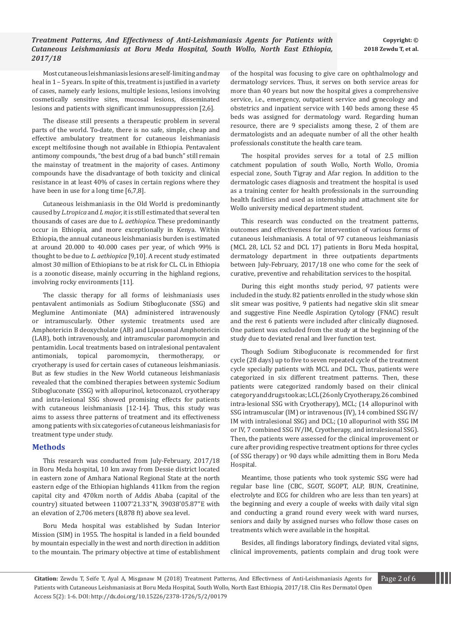Most cutaneous leishmaniasis lesions are self-limiting and may heal in 1 – 5 years. In spite of this, treatment is justified in a variety of cases, namely early lesions, multiple lesions, lesions involving cosmetically sensitive sites, mucosal lesions, disseminated lesions and patients with significant immunosuppression [2,6].

The disease still presents a therapeutic problem in several parts of the world. To-date, there is no safe, simple, cheap and effective ambulatory treatment for cutaneous leishmaniasis except meltifosine though not available in Ethiopia. Pentavalent antimony compounds, "the best drug of a bad bunch" still remain the mainstay of treatment in the majority of cases. Antimony compounds have the disadvantage of both toxicity and clinical resistance in at least 40% of cases in certain regions where they have been in use for a long time [6,7,8].

Cutaneous leishmaniasis in the Old World is predominantly caused by *L.tropica* and *L major,* it is still estimated that several ten thousands of cases are due to *L. aethiopica.* These predominantly occur in Ethiopia, and more exceptionally in Kenya. Within Ethiopia, the annual cutaneous leishmaniasis burden is estimated at around 20.000 to 40.000 cases per year, of which 99% is thought to be due to *L. aethiopica* [9,10]. A recent study estimated almost 30 million of Ethiopians to be at risk for CL. CL in Ethiopia is a zoonotic disease, mainly occurring in the highland regions, involving rocky environments [11].

The classic therapy for all forms of leishmaniasis uses pentavalent antimonials as Sodium Stibogluconate (SSG) and Meglumine Antimoniate (MA) administered intravenously or intramuscularly. Other systemic treatments used are Amphotericin B deoxycholate (AB) and Liposomal Amphotericin (LAB), both intravenously, and intramuscular paromomycin and pentamidin. Local treatments based on intralesional pentavalent antimonials, topical paromomycin, thermotherapy, or cryotherapy is used for certain cases of cutaneous leishmaniasis. But as few studies in the New World cutaneous leishmaniasis revealed that the combined therapies between systemic Sodium Stibogluconate (SSG) with allopurinol, ketoconazol, cryotherapy and intra-lesional SSG showed promising effects for patients with cutaneous leishmaniasis [12-14]. Thus, this study was aims to assess three patterns of treatment and its effectiveness among patients with six categories of cutaneous leishmaniasis for treatment type under study.

# **Methods**

This research was conducted from July-February, 2017/18 in Boru Meda hospital, 10 km away from Dessie district located in eastern zone of Amhara National Regional State at the north eastern edge of the Ethiopian highlands 411km from the region capital city and 470km north of Addis Ababa (capital of the country) situated between 11007'21.33''N, 39038'05.87''E with an elevation of 2,706 meters (8,878 ft) above sea level.

Boru Meda hospital was established by Sudan Interior Mission (SIM) in 1955. The hospital is landed in a field bounded by mountain especially in the west and north direction in addition to the mountain. The primary objective at time of establishment

of the hospital was focusing to give care on ophthalmology and dermatology services. Thus, it serves on both service areas for more than 40 years but now the hospital gives a comprehensive service, i.e., emergency, outpatient service and gynecology and obstetrics and inpatient service with 140 beds among these 45 beds was assigned for dermatology ward. Regarding human resource, there are 9 specialists among these, 2 of them are dermatologists and an adequate number of all the other health professionals constitute the health care team.

The hospital provides serves for a total of 2.5 million catchment population of south Wollo, North Wollo, Oromia especial zone, South Tigray and Afar region. In addition to the dermatologic cases diagnosis and treatment the hospital is used as a training center for health professionals in the surrounding health facilities and used as internship and attachment site for Wollo university medical department student.

This research was conducted on the treatment patterns, outcomes and effectiveness for intervention of various forms of cutaneous leishmaniasis. A total of 97 cutaneous leishmaniasis (MCL 28, LCL 52 and DCL 17) patients in Boru Meda hospital, dermatology department in three outpatients departments between July-February, 2017/18 one who come for the seek of curative, preventive and rehabilitation services to the hospital.

During this eight months study period, 97 patients were included in the study. 82 patients enrolled in the study whose skin slit smear was positive, 9 patients had negative skin slit smear and suggestive Fine Needle Aspiration Cytology (FNAC) result and the rest 6 patients were included after clinically diagnosed. One patient was excluded from the study at the beginning of the study due to deviated renal and liver function test.

Though Sodium Stibogluconate is recommended for first cycle (28 days) up to five to seven repeated cycle of the treatment cycle specially patients with MCL and DCL. Thus, patients were categorized in six different treatment patterns. Then, these patients were categorized randomly based on their clinical category and drugs took as; LCL (26 only Cryotherapy, 26 combined intra-lesional SSG with Cryotherapy), MCL; (14 allopurinol with SSG intramuscular (IM) or intravenous (IV), 14 combined SSG IV/ IM with intralesional SSG) and DCL; (10 allopurinol with SSG IM or IV, 7 combined SSG IV/IM, Cryotherapy, and intralesional SSG). Then, the patients were assessed for the clinical improvement or cure after providing respective treatment options for three cycles (of SSG therapy) or 90 days while admitting them in Boru Meda Hospital.

Meantime, those patients who took systemic SSG were had regular base line (CBC, SGOT, SGOPT, ALP, BUN, Creatinine, electrolyte and ECG for children who are less than ten years) at the beginning and every a couple of weeks with daily vital sign and conducting a grand round every week with ward nurses, seniors and daily by assigned nurses who follow those cases on treatments which were available in the hospital.

Besides, all findings laboratory findings, deviated vital signs, clinical improvements, patients complain and drug took were

**Citation:** Zewdu T, Seife T, Ayal A, Misganaw M (2018) Treatment Patterns, And Effectivness of Anti-Leishmaniasis Agents for Page 2 of 6 Patients with Cutaneous Leishmaniasis at Boru Meda Hospital, South Wollo, North East Ethiopia, 2017/18. Clin Res Dermatol Open Access 5(2): 1-6. DOI: http://dx.doi.org/10.15226/2378-1726/5/2/00179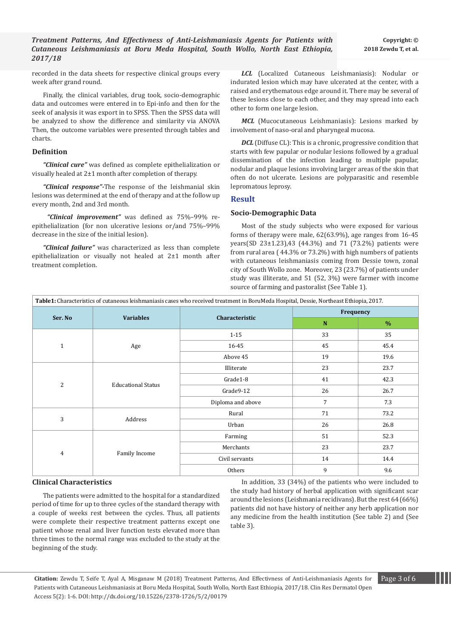recorded in the data sheets for respective clinical groups every week after grand round.

Finally, the clinical variables, drug took, socio-demographic data and outcomes were entered in to Epi-info and then for the seek of analysis it was export in to SPSS. Then the SPSS data will be analyzed to show the difference and similarity via ANOVA Then, the outcome variables were presented through tables and charts.

## **Definition**

*"Clinical cure"* was defined as complete epithelialization or visually healed at 2±1 month after completion of therapy.

*"Clinical response"-*The response of the leishmanial skin lesions was determined at the end of therapy and at the follow up every month, 2nd and 3rd month.

 *"Clinical improvement"* was defined as 75%–99% reepithelialization (for non ulcerative lesions or/and 75%–99% decrease in the size of the initial lesion).

*"Clinical failure"* was characterized as less than complete epithelialization or visually not healed at 2±1 month after treatment completion.

*LCL* (Localized Cutaneous Leishmaniasis): Nodular or indurated lesion which may have ulcerated at the center, with a raised and erythematous edge around it. There may be several of these lesions close to each other, and they may spread into each other to form one large lesion.

*MCL* (Mucocutaneous Leishmaniasis): Lesions marked by involvement of naso-oral and pharyngeal mucosa.

*DCL* (Diffuse CL): This is a chronic, progressive condition that starts with few papular or nodular lesions followed by a gradual dissemination of the infection leading to multiple papular, nodular and plaque lesions involving larger areas of the skin that often do not ulcerate. Lesions are polyparasitic and resemble lepromatous leprosy.

# **Result**

## **Socio-Demographic Data**

Most of the study subjects who were exposed for various forms of therapy were male, 62(63.9%), age ranges from 16-45 years(SD 23±1.23),43 (44.3%) and 71 (73.2%) patients were from rural area ( 44.3% or 73.2%) with high numbers of patients with cutaneous leishmaniasis coming from Dessie town, zonal city of South Wollo zone. Moreover, 23 (23.7%) of patients under study was illiterate, and 51 (52, 3%) were farmer with income source of farming and pastoralist (See Table 1).

| Table1: Characteristics of cutaneous leishmaniasis cases who received treatment in BoruMeda Hospital, Dessie, Northeast Ethiopia, 2017. |                           |                   |                                                                                     |               |  |
|-----------------------------------------------------------------------------------------------------------------------------------------|---------------------------|-------------------|-------------------------------------------------------------------------------------|---------------|--|
| Ser. No                                                                                                                                 |                           |                   | Frequency                                                                           |               |  |
|                                                                                                                                         | <b>Variables</b>          | Characteristic    | N                                                                                   | $\frac{9}{6}$ |  |
|                                                                                                                                         |                           | $1 - 15$          | 33                                                                                  | 35            |  |
| $\mathbf{1}$                                                                                                                            | Age                       | 16-45             | 45                                                                                  | 45.4          |  |
|                                                                                                                                         |                           | Above 45          | 19                                                                                  | 19.6          |  |
|                                                                                                                                         | <b>Educational Status</b> | Illiterate        | 23                                                                                  | 23.7          |  |
| 2                                                                                                                                       |                           | Grade1-8          | 41                                                                                  | 42.3          |  |
|                                                                                                                                         |                           | Grade9-12         | 26                                                                                  | 26.7          |  |
|                                                                                                                                         |                           | Diploma and above | 7<br>7.3<br>71<br>73.2<br>26<br>26.8<br>51<br>52.3<br>23<br>23.7<br>14<br>14.4<br>9 |               |  |
|                                                                                                                                         |                           | Rural             |                                                                                     |               |  |
| 3                                                                                                                                       | Address                   | Urban             |                                                                                     |               |  |
|                                                                                                                                         | Family Income             | Farming           |                                                                                     |               |  |
| 4                                                                                                                                       |                           | Merchants         |                                                                                     |               |  |
|                                                                                                                                         |                           | Civil servants    |                                                                                     |               |  |
|                                                                                                                                         |                           | Others            |                                                                                     | 9.6           |  |

## **Clinical Characteristics**

In addition, 33 (34%) of the patients who were included to the study had history of herbal application with significant scar around the lesions (Leishmania recidivans). But the rest 64 (66%) patients did not have history of neither any herb application nor any medicine from the health institution (See table 2) and (See table 3).

The patients were admitted to the hospital for a standardized period of time for up to three cycles of the standard therapy with a couple of weeks rest between the cycles. Thus, all patients were complete their respective treatment patterns except one patient whose renal and liver function tests elevated more than three times to the normal range was excluded to the study at the beginning of the study.

**Citation:** Zewdu T, Seife T, Ayal A, Misganaw M (2018) Treatment Patterns, And Effectivness of Anti-Leishmaniasis Agents for Page 3 of 6 Patients with Cutaneous Leishmaniasis at Boru Meda Hospital, South Wollo, North East Ethiopia, 2017/18. Clin Res Dermatol Open Access 5(2): 1-6. DOI: http://dx.doi.org/10.15226/2378-1726/5/2/00179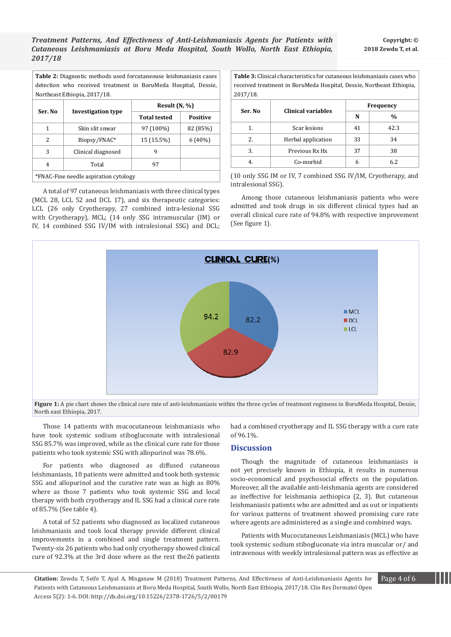*Treatment Patterns, And Effectivness of Anti-Leishmaniasis Agents for Patients with Cutaneous Leishmaniasis at Boru Meda Hospital, South Wollo, North East Ethiopia, 2017/18*

| <b>Table 2:</b> Diagnostic methods used forcutaneouse leishmaniasis cases |  |  |  |  |  |  |
|---------------------------------------------------------------------------|--|--|--|--|--|--|
| detection who received treatment in BoruMeda Hospital, Dessie,            |  |  |  |  |  |  |
| Northeast Ethiopia, 2017/18.                                              |  |  |  |  |  |  |

| Ser. No | Investigation type                    | Result $(N, %)$                                           |                 |  |  |  |  |
|---------|---------------------------------------|-----------------------------------------------------------|-----------------|--|--|--|--|
|         |                                       | <b>Total tested</b><br>97 (100%)<br>15 (15.5%)<br>9<br>97 | <b>Positive</b> |  |  |  |  |
| 1       | Skin slit smear                       |                                                           | 82 (85%)        |  |  |  |  |
| 2       | Biopsy/FNAC*                          |                                                           | 6(40%)          |  |  |  |  |
| 3       | Clinical diagnosed                    |                                                           |                 |  |  |  |  |
| 4       | Total                                 |                                                           |                 |  |  |  |  |
|         | *FNAC-Fine needle aspiration cytology |                                                           |                 |  |  |  |  |

A total of 97 cutaneous leishmaniasis with three clinical types (MCL 28, LCL 52 and DCL 17), and six therapeutic categories: LCL (26 only Cryotherapy, 27 combined intra-lesional SSG with Cryotherapy), MCL; (14 only SSG intramuscular (IM) or IV, 14 combined SSG IV/IM with intralesional SSG) and DCL;

**Table 3:** Clinical characteristics for cutaneous leishmaniasis cases who received treatment in BoruMeda Hospital, Dessie, Northeast Ethiopia, 2017/18.

| $-0$ $-1$ $-0$ |                           |           |               |  |  |  |
|----------------|---------------------------|-----------|---------------|--|--|--|
| Ser. No        | <b>Clinical variables</b> | Frequency |               |  |  |  |
|                |                           | N         | $\frac{0}{0}$ |  |  |  |
| 1.             | Scar lesions              | 41        | 42.3          |  |  |  |
| 2.             | Herbal application        | 33        | 34            |  |  |  |
| 3.             | Previous Rx Hx            | 37        | 38            |  |  |  |
| 4.             | Co-morbid                 | 6         | 6.2           |  |  |  |

(10 only SSG IM or IV, 7 combined SSG IV/IM, Cryotherapy, and intralesional SSG).

Among those cutaneous leishmaniasis patients who were admitted and took drugs in six different clinical types had an overall clinical cure rate of 94.8% with respective improvement (See figure 1).



Figure 1: A pie chart shows the clinical cure rate of anti-leishmaniasis within the three cycles of treatment regimens in BoruMeda Hospital, Dessie, North east Ethiopia, 2017.

Those 14 patients with mucocutaneous leishmaniasis who have took systemic sodium stibogluconate with intralesional SSG 85.7% was improved, while as the clinical cure rate for those patients who took systemic SSG with allopurinol was 78.6%.

For patients who diagnosed as diffused cutaneous leishmaniasis, 10 patients were admitted and took both systemic SSG and allopurinol and the curative rate was as high as 80% where as those 7 patients who took systemic SSG and local therapy with both cryotherapy and IL SSG had a clinical cure rate of 85.7% (See table 4).

A total of 52 patients who diagnosed as localized cutaneous leishmaniasis and took local therapy provide different clinical improvements in a combined and single treatment pattern. Twenty-six 26 patients who had only cryotherapy showed clinical cure of 92.3% at the 3rd dose where as the rest the26 patients had a combined cryotherapy and IL SSG therapy with a cure rate of 96.1%.

## **Discussion**

Though the magnitude of cutaneous leishmaniasis is not yet precisely known in Ethiopia, it results in numerous socio-economical and psychosocial effects on the population. Moreover, all the available anti-leishmania agents are considered as ineffective for leishmania aethiopica (2, 3). But cutaneous leishmaniasis patients who are admitted and as out or inpatients for various patterns of treatment showed promising cure rate where agents are administered as a single and combined ways.

Patients with Mucocutaneous Leishmaniasis (MCL) who have took systemic sodium stibogluconate via intra muscular or/ and intravenous with weekly intralesional pattern was as effective as

**Citation:** Zewdu T, Seife T, Ayal A, Misganaw M (2018) Treatment Patterns, And Effectivness of Anti-Leishmaniasis Agents for Page 4 of 6 Patients with Cutaneous Leishmaniasis at Boru Meda Hospital, South Wollo, North East Ethiopia, 2017/18. Clin Res Dermatol Open Access 5(2): 1-6. DOI: http://dx.doi.org/10.15226/2378-1726/5/2/00179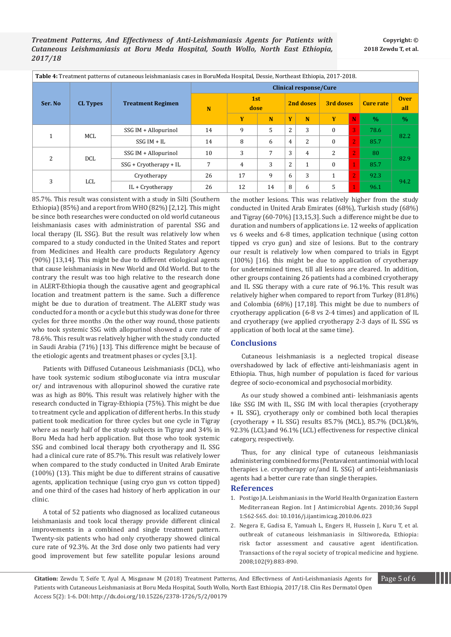| Table 4: Treatment patterns of cutaneous leishmaniasis cases in BoruMeda Hospital, Dessie, Northeast Ethiopia, 2017-2018. |                 |                               |                               |             |    |                |                |                  |                |                  |                    |
|---------------------------------------------------------------------------------------------------------------------------|-----------------|-------------------------------|-------------------------------|-------------|----|----------------|----------------|------------------|----------------|------------------|--------------------|
| Ser. No.                                                                                                                  | <b>CL Types</b> | <b>Treatment Regimen</b><br>N | <b>Clinical response/Cure</b> |             |    |                |                |                  |                |                  |                    |
|                                                                                                                           |                 |                               |                               | 1st<br>dose |    | 2nd doses      |                | 3rd doses        |                | <b>Cure rate</b> | <b>Over</b><br>all |
|                                                                                                                           |                 |                               |                               | Y           | N  | Y              | N              | Y                | N              | $\frac{0}{0}$    | $\frac{0}{0}$      |
|                                                                                                                           |                 | SSG IM + Allopurinol          | 14                            | 9           | 5  | $\overline{2}$ | 3              | $\mathbf{0}$     | 3              | 78.6             | 82.2               |
|                                                                                                                           | MCL             | $SSG IM + IL$                 | 14                            | 8           | 6  | $\overline{4}$ | $\overline{2}$ | $\mathbf{0}$     | $2^{\prime}$   | 85.7             |                    |
| 2                                                                                                                         |                 | SSG IM + Allopurinol          | 10                            | 3           | 7  | 3              | $\overline{4}$ | 2                | $\overline{2}$ | 80               | 82.9               |
|                                                                                                                           | <b>DCL</b>      | $SSG + Cryotherapy + IL$      | 7                             | 4           | 3  | $\overline{2}$ | $\mathbf{1}$   | $\boldsymbol{0}$ | d              | 85.7             |                    |
| 3                                                                                                                         | LCL             | Cryotherapy                   | 26                            | 17          | 9  | 6              | 3              | 1                | $\overline{2}$ | 92.3             |                    |
|                                                                                                                           |                 | IL + Cryotherapy              | 26                            | 12          | 14 | 8              | 6              | 5                | 1              | 96.1             | 94.2               |

85.7%. This result was consistent with a study in Silti (Southern Ethiopia) (85%) and a report from WHO (82%) [2,12]. This might be since both researches were conducted on old world cutaneous leishmaniasis cases with administration of parental SSG and local therapy (IL SSG). But the result was relatively low when compared to a study conducted in the United States and report from Medicines and Health care products Regulatory Agency (90%) [13,14]. This might be due to different etiological agents that cause leishmaniasis in New World and Old World. But to the contrary the result was too high relative to the research done in ALERT-Ethiopia though the causative agent and geographical location and treatment pattern is the same. Such a difference might be due to duration of treatment. The ALERT study was conducted for a month or a cycle but this study was done for three cycles for three months .On the other way round, those patients who took systemic SSG with allopurinol showed a cure rate of 78.6%. This result was relatively higher with the study conducted in Saudi Arabia (71%) [13]. This difference might be because of the etiologic agents and treatment phases or cycles [3,1].

Patients with Diffused Cutaneous Leishmaniasis (DCL), who have took systemic sodium stibogluconate via intra muscular or/ and intravenous with allopurinol showed the curative rate was as high as 80%. This result was relatively higher with the research conducted in Tigray-Ethiopia (75%). This might be due to treatment cycle and application of different herbs. In this study patient took medication for three cycles but one cycle in Tigray where as nearly half of the study subjects in Tigray and 34% in Boru Meda had herb application. But those who took systemic SSG and combined local therapy both cryotherapy and IL SSG had a clinical cure rate of 85.7%. This result was relatively lower when compared to the study conducted in United Arab Emirate (100%) (13). This might be due to different strains of causative agents, application technique (using cryo gun vs cotton tipped) and one third of the cases had history of herb application in our clinic.

A total of 52 patients who diagnosed as localized cutaneous leishmaniasis and took local therapy provide different clinical improvements in a combined and single treatment pattern. Twenty-six patients who had only cryotherapy showed clinical cure rate of 92.3%. At the 3rd dose only two patients had very good improvement but few satellite popular lesions around

the mother lesions. This was relatively higher from the study conducted in United Arab Emirates (68%), Turkish study (68%) and Tigray (60-70%) [13,15,3]. Such a difference might be due to duration and numbers of applications i.e. 12 weeks of application vs 6 weeks and 6-8 times, application technique (using cotton tipped vs cryo gun) and size of lesions. But to the contrary our result is relatively low when compared to trials in Egypt (100%) [16]. this might be due to application of cryotherapy for undetermined times, till all lesions are cleared. In addition, other groups containing 26 patients had a combined cryotherapy and IL SSG therapy with a cure rate of 96.1%. This result was relatively higher when compared to report from Turkey (81.8%) and Colombia (68%) [17,18]. This might be due to numbers of cryotherapy application (6-8 vs 2-4 times) and application of IL and cryotherapy (we applied cryotherapy 2-3 days of IL SSG vs application of both local at the same time).

# **Conclusions**

Cutaneous leishmaniasis is a neglected tropical disease overshadowed by lack of effective anti-leishmaniasis agent in Ethiopia. Thus, high number of population is faced for various degree of socio-economical and psychosocial morbidity.

As our study showed a combined anti- leishmaniasis agents like SSG IM with IL, SSG IM with local therapies (cryotherapy + IL SSG), cryotherapy only or combined both local therapies (cryotherapy + IL SSG) results 85.7% (MCL), 85.7% (DCL)&%, 92.3% (LCL)and 96.1% (LCL) effectiveness for respective clinical category, respectively.

Thus, for any clinical type of cutaneous leishmaniasis administering combined forms (Pentavalent antimonial with local therapies i.e. cryotherapy or/and IL SSG) of anti-leishmaniasis agents had a better cure rate than single therapies.

## **References**

- 1. [Postigo JA. Leishmaniasis in the World Health Organization Eastern](https://www.ncbi.nlm.nih.gov/pubmed/20728317)  [Mediterranean Region. Int J Antimicrobial Agents. 2010;36 Suppl](https://www.ncbi.nlm.nih.gov/pubmed/20728317)  [1:S62-S65. doi: 10.1016/j.ijantimicag.2010.06.023](https://www.ncbi.nlm.nih.gov/pubmed/20728317)
- 2. [Negera E, Gadisa E, Yamuah L, Engers H, Hussein J, Kuru T, et al.](https://www.sciencedirect.com/science/article/pii/S0035920308001429)  [outbreak of cutaneous leishmaniasis in Siltiworeda, Ethiopia:](https://www.sciencedirect.com/science/article/pii/S0035920308001429)  [risk factor assessment and causative agent](https://www.sciencedirect.com/science/article/pii/S0035920308001429) identification. [Transactions of the royal society of tropical medicine and hygiene.](https://www.sciencedirect.com/science/article/pii/S0035920308001429)  [2008;102\(9\):883-890.](https://www.sciencedirect.com/science/article/pii/S0035920308001429)

**Citation:** Zewdu T, Seife T, Ayal A, Misganaw M (2018) Treatment Patterns, And Effectivness of Anti-Leishmaniasis Agents for Page 5 of 6 Patients with Cutaneous Leishmaniasis at Boru Meda Hospital, South Wollo, North East Ethiopia, 2017/18. Clin Res Dermatol Open Access 5(2): 1-6. DOI: http://dx.doi.org/10.15226/2378-1726/5/2/00179